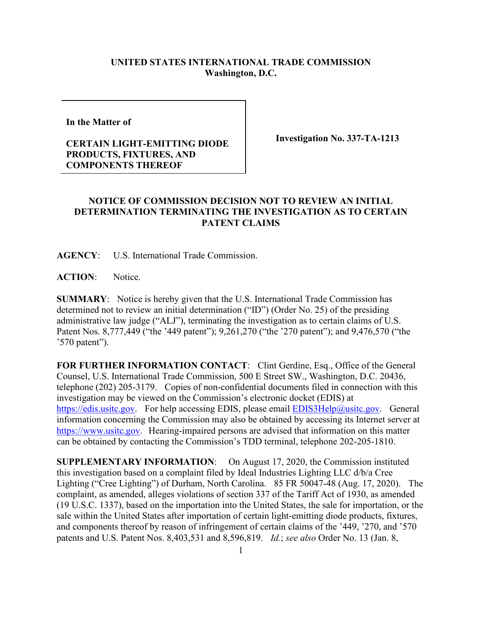## **UNITED STATES INTERNATIONAL TRADE COMMISSION Washington, D.C.**

**In the Matter of** 

## **CERTAIN LIGHT-EMITTING DIODE PRODUCTS, FIXTURES, AND COMPONENTS THEREOF**

**Investigation No. 337-TA-1213**

## **NOTICE OF COMMISSION DECISION NOT TO REVIEW AN INITIAL DETERMINATION TERMINATING THE INVESTIGATION AS TO CERTAIN PATENT CLAIMS**

**AGENCY**: U.S. International Trade Commission.

**ACTION**: Notice.

**SUMMARY**: Notice is hereby given that the U.S. International Trade Commission has determined not to review an initial determination ("ID") (Order No. 25) of the presiding administrative law judge ("ALJ"), terminating the investigation as to certain claims of U.S. Patent Nos. 8,777,449 ("the '449 patent"); 9,261,270 ("the '270 patent"); and 9,476,570 ("the '570 patent").

FOR FURTHER INFORMATION CONTACT: Clint Gerdine, Esq., Office of the General Counsel, U.S. International Trade Commission, 500 E Street SW., Washington, D.C. 20436, telephone (202) 205-3179. Copies of non-confidential documents filed in connection with this investigation may be viewed on the Commission's electronic docket (EDIS) at [https://edis.usitc.gov.](https://edis.usitc.gov/) For help accessing EDIS, please email [EDIS3Help@usitc.gov.](mailto:EDIS3Help@usitc.gov) General information concerning the Commission may also be obtained by accessing its Internet server at [https://www.usitc.gov.](https://www.usitc.gov/) Hearing-impaired persons are advised that information on this matter can be obtained by contacting the Commission's TDD terminal, telephone 202-205-1810.

**SUPPLEMENTARY INFORMATION**: On August 17, 2020, the Commission instituted this investigation based on a complaint filed by Ideal Industries Lighting LLC d/b/a Cree Lighting ("Cree Lighting") of Durham, North Carolina. 85 FR 50047-48 (Aug. 17, 2020). The complaint, as amended, alleges violations of section 337 of the Tariff Act of 1930, as amended (19 U.S.C. 1337), based on the importation into the United States, the sale for importation, or the sale within the United States after importation of certain light-emitting diode products, fixtures, and components thereof by reason of infringement of certain claims of the '449, '270, and '570 patents and U.S. Patent Nos. 8,403,531 and 8,596,819. *Id.*; *see also* Order No. 13 (Jan. 8,